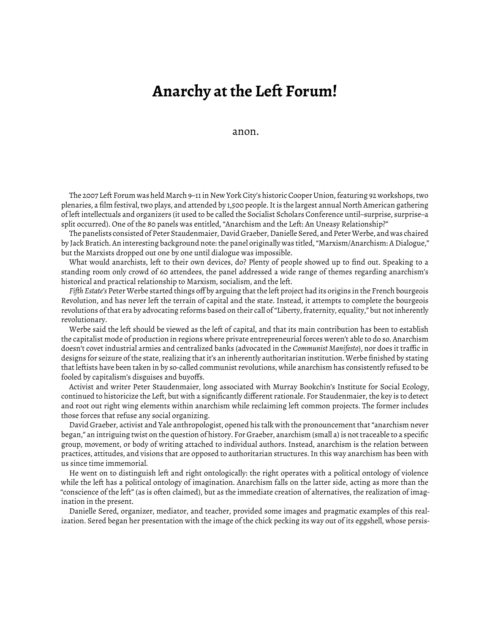## **Anarchy at the Left Forum!**

anon.

The 2007 Left Forum was held March 9–11 in New York City's historic Cooper Union, featuring 92 workshops, two plenaries, a film festival, two plays, and attended by 1,500 people. It is the largest annual North American gathering of left intellectuals and organizers (it used to be called the Socialist Scholars Conference until–surprise, surprise–a split occurred). One of the 80 panels was entitled, "Anarchism and the Left: An Uneasy Relationship?"

The panelists consisted of Peter Staudenmaier, David Graeber, Danielle Sered, and Peter Werbe, and was chaired by Jack Bratich. An interesting background note: the panel originally was titled, "Marxism/Anarchism: A Dialogue," but the Marxists dropped out one by one until dialogue was impossible.

What would anarchists, left to their own devices, do? Plenty of people showed up to find out. Speaking to a standing room only crowd of 60 attendees, the panel addressed a wide range of themes regarding anarchism's historical and practical relationship to Marxism, socialism, and the left.

*Fiǡth Estate's* Peter Werbe started things off by arguing that the left project had its origins in the French bourgeois Revolution, and has never left the terrain of capital and the state. Instead, it attempts to complete the bourgeois revolutions of that era by advocating reforms based on their call of "Liberty, fraternity, equality," but not inherently revolutionary.

Werbe said the left should be viewed as the left of capital, and that its main contribution has been to establish the capitalist mode of production in regions where private entrepreneurial forces weren't able to do so. Anarchism doesn't covet industrial armies and centralized banks (advocated in the *Communist Manifesto*), nor does it traffic in designs for seizure of the state, realizing that it's an inherently authoritarian institution. Werbe finished by stating that leftists have been taken in by so-called communist revolutions, while anarchism has consistently refused to be fooled by capitalism's disguises and buyoffs.

Activist and writer Peter Staudenmaier, long associated with Murray Bookchin's Institute for Social Ecology, continued to historicize the Left, but with a significantly different rationale. For Staudenmaier, the key is to detect and root out right wing elements within anarchism while reclaiming left common projects. The former includes those forces that refuse any social organizing.

David Graeber, activist and Yale anthropologist, opened his talk with the pronouncement that "anarchism never began," an intriguing twist on the question of history. For Graeber, anarchism (small a) is not traceable to a specific group, movement, or body of writing attached to individual authors. Instead, anarchism is the relation between practices, attitudes, and visions that are opposed to authoritarian structures. In this way anarchism has been with us since time immemorial.

He went on to distinguish left and right ontologically: the right operates with a political ontology of violence while the left has a political ontology of imagination. Anarchism falls on the latter side, acting as more than the "conscience of the left" (as is often claimed), but as the immediate creation of alternatives, the realization of imagination in the present.

Danielle Sered, organizer, mediator, and teacher, provided some images and pragmatic examples of this realization. Sered began her presentation with the image of the chick pecking its way out of its eggshell, whose persis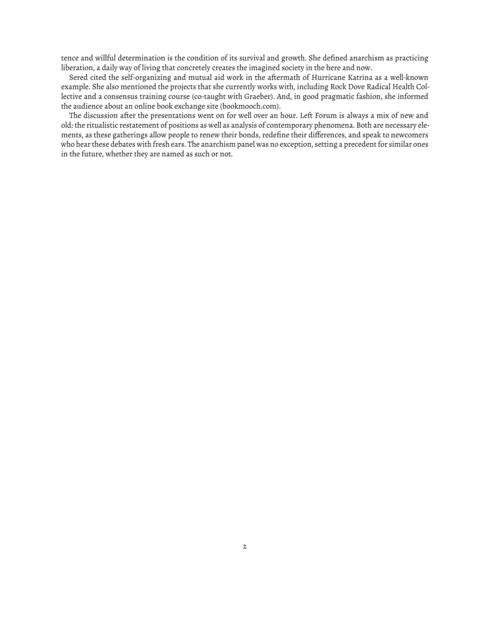tence and willful determination is the condition of its survival and growth. She defined anarchism as practicing liberation, a daily way of living that concretely creates the imagined society in the here and now.

Sered cited the self-organizing and mutual aid work in the aftermath of Hurricane Katrina as a well-known example. She also mentioned the projects that she currently works with, including Rock Dove Radical Health Collective and a consensus training course (co-taught with Graeber). And, in good pragmatic fashion, she informed the audience about an online book exchange site (bookmooch.com).

The discussion after the presentations went on for well over an hour. Left Forum is always a mix of new and old: the ritualistic restatement of positions as well as analysis of contemporary phenomena. Both are necessary elements, as these gatherings allow people to renew their bonds, redefine their differences, and speak to newcomers who hear these debates with fresh ears. The anarchism panel was no exception, setting a precedent for similar ones in the future, whether they are named as such or not.